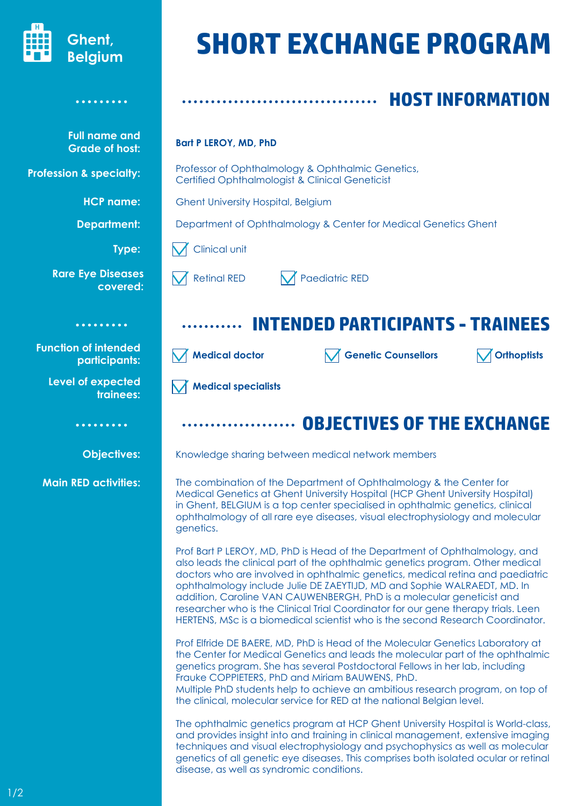

**Full name and Grade of host:**

. . . . . . . . .

**HCP name:** 

**Department:**

**Type:** 

**Profession & specialty:**

# **SHORT EXCHANGE PROGRAM**

## **HOST INFORMATION**

#### **Bart P LEROY, MD, PhD**

Professor of Ophthalmology & Ophthalmic Genetics, Certified Ophthalmologist & Clinical Geneticist

Ghent University Hospital, Belgium

Department of Ophthalmology & Center for Medical Genetics Ghent

Clinical unit

Retinal RED  $\blacksquare$  Paediatric RED

### **INTENDED PARTICIPANTS - TRAINEES**

**Medical doctor OP Orthophists Genetic Counsellors OP Orthophists** 

**Medical specialists**

#### **OBJECTIVES OF THE EXCHANGE**

Knowledge sharing between medical network members

The combination of the Department of Ophthalmology & the Center for Medical Genetics at Ghent University Hospital (HCP Ghent University Hospital) in Ghent, BELGIUM is a top center specialised in ophthalmic genetics, clinical ophthalmology of all rare eye diseases, visual electrophysiology and molecular genetics.

Prof Bart P LEROY, MD, PhD is Head of the Department of Ophthalmology, and also leads the clinical part of the ophthalmic genetics program. Other medical doctors who are involved in ophthalmic genetics, medical retina and paediatric ophthalmology include Julie DE ZAEYTIJD, MD and Sophie WALRAEDT, MD. In addition, Caroline VAN CAUWENBERGH, PhD is a molecular geneticist and researcher who is the Clinical Trial Coordinator for our gene therapy trials. Leen HERTENS, MSc is a biomedical scientist who is the second Research Coordinator.

Prof Elfride DE BAERE, MD, PhD is Head of the Molecular Genetics Laboratory at the Center for Medical Genetics and leads the molecular part of the ophthalmic genetics program. She has several Postdoctoral Fellows in her lab, including Frauke COPPIETERS, PhD and Miriam BAUWENS, PhD.

Multiple PhD students help to achieve an ambitious research program, on top of the clinical, molecular service for RED at the national Belgian level.

The ophthalmic genetics program at HCP Ghent University Hospital is World-class, and provides insight into and training in clinical management, extensive imaging techniques and visual electrophysiology and psychophysics as well as molecular genetics of all genetic eye diseases. This comprises both isolated ocular or retinal disease, as well as syndromic conditions.

| covered: |
|----------|
|          |
| .        |

**Rare Eye Diseases** 

**Function of intended participants:**

> **Level of expected trainees:**

> > **Objectives:**

. . . . . . . . .

**Main RED activities:**